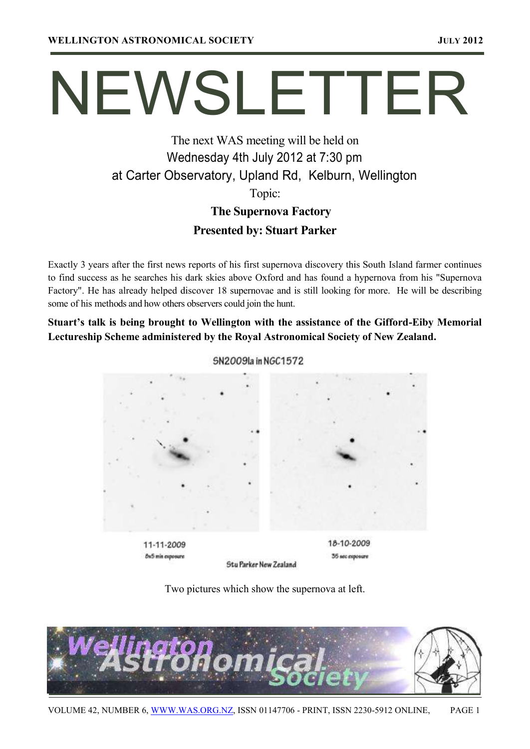# NEWSLETTER

# The next WAS meeting will be held on Wednesday 4th July 2012 at 7:30 pm at Carter Observatory, Upland Rd, Kelburn, Wellington Topic:

# **The Supernova Factory Presented by: Stuart Parker**

Exactly 3 years after the first news reports of his first supernova discovery this South Island farmer continues to find success as he searches his dark skies above Oxford and has found a hypernova from his "Supernova Factory". He has already helped discover 18 supernovae and is still looking for more. He will be describing some of his methods and how others observers could join the hunt.

**Stuart's talk is being brought to Wellington with the assistance of the Gifford-Eiby Memorial Lectureship Scheme administered by the Royal Astronomical Society of New Zealand.** 



5N2009la in NGC1572

Two pictures which show the supernova at left.

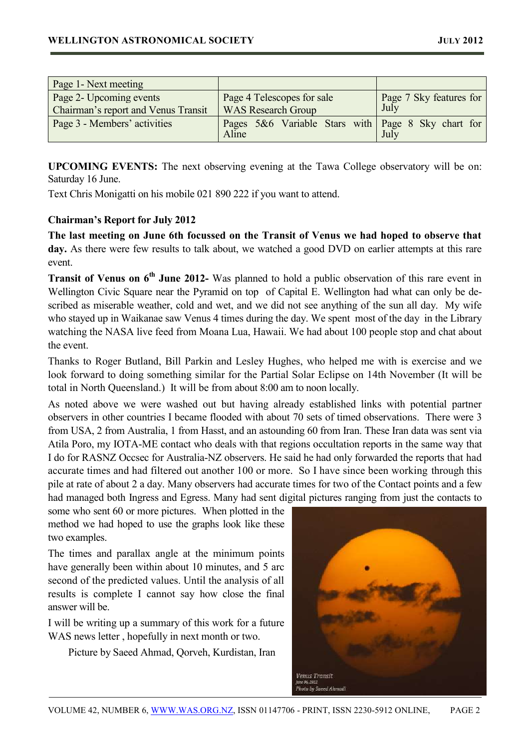| Page 1 - Next meeting               |                                                             |                         |
|-------------------------------------|-------------------------------------------------------------|-------------------------|
| Page 2- Upcoming events             | Page 4 Telescopes for sale                                  | Page 7 Sky features for |
| Chairman's report and Venus Transit | <b>WAS Research Group</b>                                   | July                    |
| Page 3 - Members' activities        | Pages 5&6 Variable Stars with Page 8 Sky chart for<br>Aline | July                    |

**UPCOMING EVENTS:** The next observing evening at the Tawa College observatory will be on: Saturday 16 June.

Text Chris Monigatti on his mobile 021 890 222 if you want to attend.

# **Chairman's Report for July 2012**

**The last meeting on June 6th focussed on the Transit of Venus we had hoped to observe that day.** As there were few results to talk about, we watched a good DVD on earlier attempts at this rare event.

**Transit of Venus on 6th June 2012-** Was planned to hold a public observation of this rare event in Wellington Civic Square near the Pyramid on top of Capital E. Wellington had what can only be described as miserable weather, cold and wet, and we did not see anything of the sun all day. My wife who stayed up in Waikanae saw Venus 4 times during the day. We spent most of the day in the Library watching the NASA live feed from Moana Lua, Hawaii. We had about 100 people stop and chat about the event.

Thanks to Roger Butland, Bill Parkin and Lesley Hughes, who helped me with is exercise and we look forward to doing something similar for the Partial Solar Eclipse on 14th November (It will be total in North Queensland.) It will be from about 8:00 am to noon locally.

As noted above we were washed out but having already established links with potential partner observers in other countries I became flooded with about 70 sets of timed observations. There were 3 from USA, 2 from Australia, 1 from Hasst, and an astounding 60 from Iran. These Iran data was sent via Atila Poro, my IOTA-ME contact who deals with that regions occultation reports in the same way that I do for RASNZ Occsec for Australia-NZ observers. He said he had only forwarded the reports that had accurate times and had filtered out another 100 or more. So I have since been working through this pile at rate of about 2 a day. Many observers had accurate times for two of the Contact points and a few had managed both Ingress and Egress. Many had sent digital pictures ranging from just the contacts to

some who sent 60 or more pictures. When plotted in the method we had hoped to use the graphs look like these two examples.

The times and parallax angle at the minimum points have generally been within about 10 minutes, and 5 arc second of the predicted values. Until the analysis of all results is complete I cannot say how close the final answer will be.

I will be writing up a summary of this work for a future WAS news letter , hopefully in next month or two.

Picture by Saeed Ahmad, Qorveh, Kurdistan, Iran

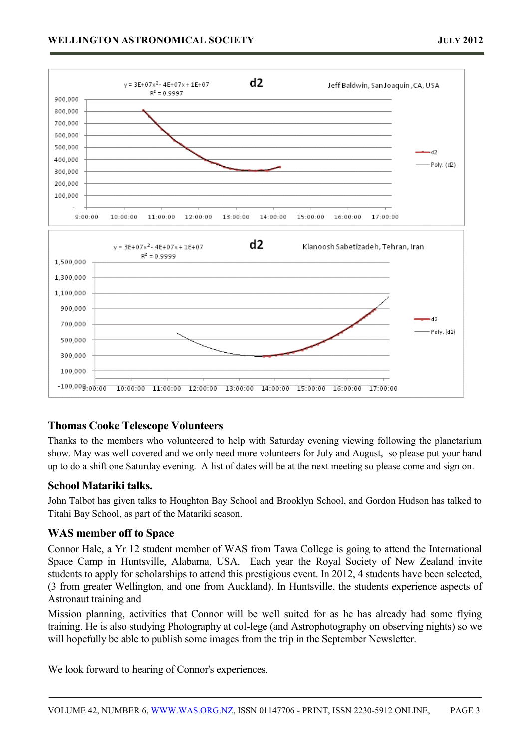

# **Thomas Cooke Telescope Volunteers**

Thanks to the members who volunteered to help with Saturday evening viewing following the planetarium show. May was well covered and we only need more volunteers for July and August, so please put your hand up to do a shift one Saturday evening. A list of dates will be at the next meeting so please come and sign on.

## **School Matariki talks.**

John Talbot has given talks to Houghton Bay School and Brooklyn School, and Gordon Hudson has talked to Titahi Bay School, as part of the Matariki season.

# **WAS member off to Space**

Connor Hale, a Yr 12 student member of WAS from Tawa College is going to attend the International Space Camp in Huntsville, Alabama, USA. Each year the Royal Society of New Zealand invite students to apply for scholarships to attend this prestigious event. In 2012, 4 students have been selected, (3 from greater Wellington, and one from Auckland). In Huntsville, the students experience aspects of Astronaut training and

Mission planning, activities that Connor will be well suited for as he has already had some flying training. He is also studying Photography at col-lege (and Astrophotography on observing nights) so we will hopefully be able to publish some images from the trip in the September Newsletter.

We look forward to hearing of Connor's experiences.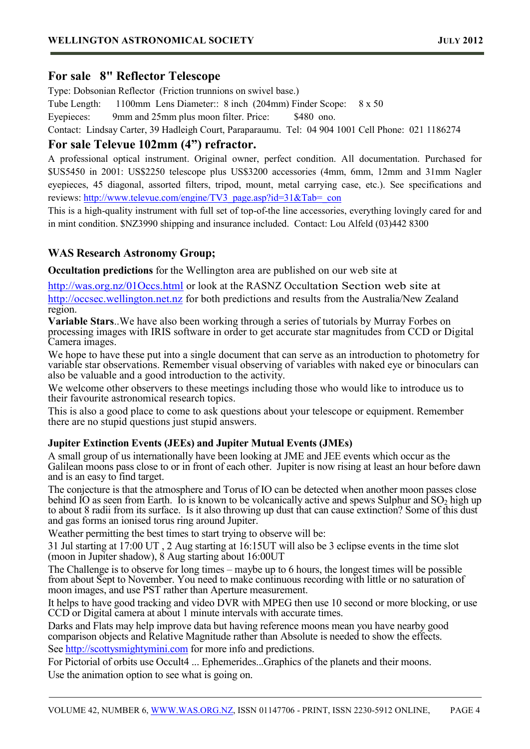# **For sale 8" Reflector Telescope**

Type: Dobsonian Reflector (Friction trunnions on swivel base.)

Tube Length: 1100mm Lens Diameter:: 8 inch (204mm) Finder Scope: 8 x 50

Eyepieces: 9mm and 25mm plus moon filter. Price: \$480 ono.

Contact: Lindsay Carter, 39 Hadleigh Court, Paraparaumu. Tel: 04 904 1001 Cell Phone: 021 1186274

# **For sale Televue 102mm (4") refractor.**

A professional optical instrument. Original owner, perfect condition. All documentation. Purchased for \$US5450 in 2001: US\$2250 telescope plus US\$3200 accessories (4mm, 6mm, 12mm and 31mm Nagler eyepieces, 45 diagonal, assorted filters, tripod, mount, metal carrying case, etc.). See specifications and reviews: [http://www.televue.com/engine/TV3\\_page.asp?id=31&Tab=\\_con](http://www.televue.com/engine/TV3_page.asp?id=31&Tab=_con)

This is a high-quality instrument with full set of top-of-the line accessories, everything lovingly cared for and in mint condition. \$NZ3990 shipping and insurance included. Contact: Lou Alfeld (03)442 8300

# **WAS Research Astronomy Group;**

**Occultation predictions** for the Wellington area are published on our web site at

[http://was.org.nz/01Occs.html](http://was.org.nz/01occs.html) or look at the RASNZ Occultation Section web site at [http://occsec.wellington.net.nz](http://occsec.wellington.net.nz/) for both predictions and results from the Australia/New Zealand region.

**Variable Stars**..We have also been working through a series of tutorials by Murray Forbes on processing images with IRIS software in order to get accurate star magnitudes from CCD or Digital Camera images.

We hope to have these put into a single document that can serve as an introduction to photometry for variable star observations. Remember visual observing of variables with naked eye or binoculars can also be valuable and a good introduction to the activity.

We welcome other observers to these meetings including those who would like to introduce us to their favourite astronomical research topics.

This is also a good place to come to ask questions about your telescope or equipment. Remember there are no stupid questions just stupid answers.

# **Jupiter Extinction Events (JEEs) and Jupiter Mutual Events (JMEs)**

A small group of us internationally have been looking at JME and JEE events which occur as the Galilean moons pass close to or in front of each other. Jupiter is now rising at least an hour before dawn and is an easy to find target.

The conjecture is that the atmosphere and Torus of IO can be detected when another moon passes close behind IO as seen from Earth. Io is known to be volcanically active and spews Sulphur and  $SO_2$  high up to about 8 radii from its surface. Is it also throwing up dust that can cause extinction? Some of this dust and gas forms an ionised torus ring around Jupiter.

Weather permitting the best times to start trying to observe will be:

31 Jul starting at 17:00 UT , 2 Aug starting at 16:15UT will also be 3 eclipse events in the time slot (moon in Jupiter shadow), 8 Aug starting about 16:00UT

The Challenge is to observe for long times – maybe up to 6 hours, the longest times will be possible from about Sept to November. You need to make continuous recording with little or no saturation of moon images, and use PST rather than Aperture measurement.

It helps to have good tracking and video DVR with MPEG then use 10 second or more blocking, or use CCD or Digital camera at about 1 minute intervals with accurate times.

Darks and Flats may help improve data but having reference moons mean you have nearby good comparison objects and Relative Magnitude rather than Absolute is needed to show the effects. See [http://scottysmightymini.com](http://scottysmightymini.com/) for more info and predictions.

For Pictorial of orbits use Occult4 ... Ephemerides...Graphics of the planets and their moons. Use the animation option to see what is going on.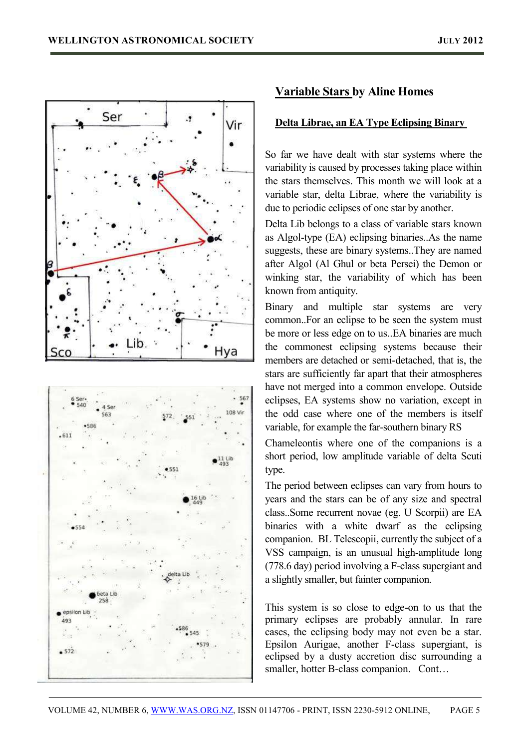



# **Variable Stars by Aline Homes**

#### **Delta Librae, an EA Type Eclipsing Binary**

So far we have dealt with star systems where the variability is caused by processes taking place within the stars themselves. This month we will look at a variable star, delta Librae, where the variability is due to periodic eclipses of one star by another.

Delta Lib belongs to a class of variable stars known as Algol-type (EA) eclipsing binaries..As the name suggests, these are binary systems..They are named after Algol (Al Ghul or beta Persei) the Demon or winking star, the variability of which has been known from antiquity.

Binary and multiple star systems are very common..For an eclipse to be seen the system must be more or less edge on to us..EA binaries are much the commonest eclipsing systems because their members are detached or semi-detached, that is, the stars are sufficiently far apart that their atmospheres have not merged into a common envelope. Outside eclipses, EA systems show no variation, except in the odd case where one of the members is itself variable, for example the far-southern binary RS

Chameleontis where one of the companions is a short period, low amplitude variable of delta Scuti type.

The period between eclipses can vary from hours to years and the stars can be of any size and spectral class..Some recurrent novae (eg. U Scorpii) are EA binaries with a white dwarf as the eclipsing companion. BL Telescopii, currently the subject of a VSS campaign, is an unusual high-amplitude long (778.6 day) period involving a F-class supergiant and a slightly smaller, but fainter companion.

This system is so close to edge-on to us that the primary eclipses are probably annular. In rare cases, the eclipsing body may not even be a star. Epsilon Aurigae, another F-class supergiant, is eclipsed by a dusty accretion disc surrounding a smaller, hotter B-class companion. Cont...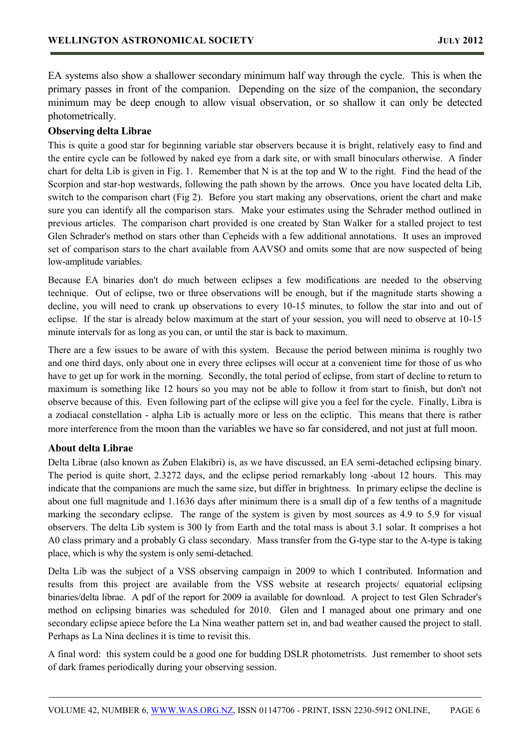EA systems also show a shallower secondary minimum half way through the cycle. This is when the primary passes in front of the companion. Depending on the size of the companion, the secondary minimum may be deep enough to allow visual observation, or so shallow it can only be detected photometrically.

# **Observing delta Librae**

This is quite a good star for beginning variable star observers because it is bright, relatively easy to find and the entire cycle can be followed by naked eye from a dark site, or with small binoculars otherwise. A finder chart for delta Lib is given in Fig. 1. Remember that N is at the top and W to the right. Find the head of the Scorpion and star-hop westwards, following the path shown by the arrows. Once you have located delta Lib, switch to the comparison chart (Fig 2). Before you start making any observations, orient the chart and make sure you can identify all the comparison stars. Make your estimates using the Schrader method outlined in previous articles. The comparison chart provided is one created by Stan Walker for a stalled project to test Glen Schrader's method on stars other than Cepheids with a few additional annotations. It uses an improved set of comparison stars to the chart available from AAVSO and omits some that are now suspected of being low-amplitude variables.

Because EA binaries don't do much between eclipses a few modifications are needed to the observing technique. Out of eclipse, two or three observations will be enough, but if the magnitude starts showing a decline, you will need to crank up observations to every 10-15 minutes, to follow the star into and out of eclipse. If the star is already below maximum at the start of your session, you will need to observe at 10-15 minute intervals for as long as you can, or until the star is back to maximum.

There are a few issues to be aware of with this system. Because the period between minima is roughly two and one third days, only about one in every three eclipses will occur at a convenient time for those of us who have to get up for work in the morning. Secondly, the total period of eclipse, from start of decline to return to maximum is something like 12 hours so you may not be able to follow it from start to finish, but don't not observe because of this. Even following part of the eclipse will give you a feel for the cycle. Finally, Libra is a zodiacal constellation - alpha Lib is actually more or less on the ecliptic. This means that there is rather more interference from the moon than the variables we have so far considered, and not just at full moon.

## **About delta Librae**

Delta Librae (also known as Zuben Elakibri) is, as we have discussed, an EA semi-detached eclipsing binary. The period is quite short, 2.3272 days, and the eclipse period remarkably long -about 12 hours. This may indicate that the companions are much the same size, but differ in brightness. In primary eclipse the decline is about one full magnitude and 1.1636 days after minimum there is a small dip of a few tenths of a magnitude marking the secondary eclipse. The range of the system is given by most sources as 4.9 to 5.9 for visual observers. The delta Lib system is 300 ly from Earth and the total mass is about 3.1 solar. It comprises a hot A0 class primary and a probably G class secondary. Mass transfer from the G-type star to the A-type is taking place, which is why the system is only semi-detached.

Delta Lib was the subject of a VSS observing campaign in 2009 to which I contributed. Information and results from this project are available from the VSS website at research projects/ equatorial eclipsing binaries/delta librae. A pdf of the report for 2009 ia available for download. A project to test Glen Schrader's method on eclipsing binaries was scheduled for 2010. Glen and I managed about one primary and one secondary eclipse apiece before the La Nina weather pattern set in, and bad weather caused the project to stall. Perhaps as La Nina declines it is time to revisit this.

A final word: this system could be a good one for budding DSLR photometrists. Just remember to shoot sets of dark frames periodically during your observing session.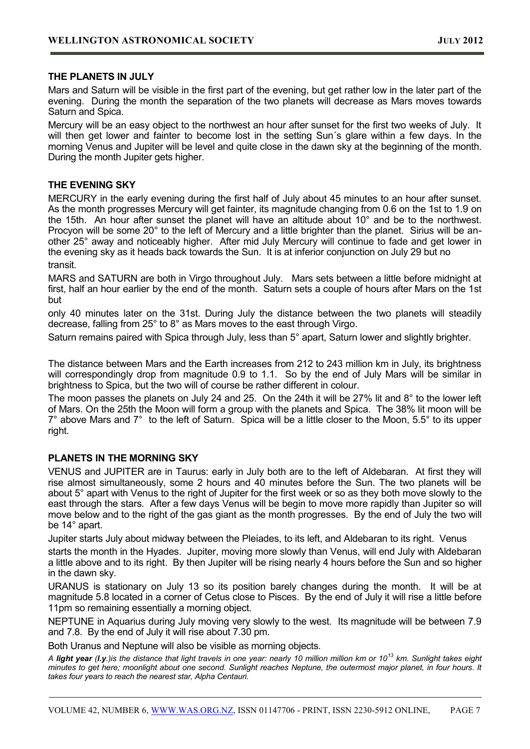#### **THE PLANETS IN JULY**

Mars and Saturn will be visible in the first part of the evening, but get rather low in the later part of the evening. During the month the separation of the two planets will decrease as Mars moves towards Saturn and Spica.

Mercury will be an easy object to the northwest an hour after sunset for the first two weeks of July. It will then get lower and fainter to become lost in the setting Sun's glare within a few days. In the morning Venus and Jupiter will be level and quite close in the dawn sky at the beginning of the month. During the month Jupiter gets higher.

#### **THE EVENING SKY**

MERCURY in the early evening during the first half of July about 45 minutes to an hour after sunset. As the month progresses Mercury will get fainter, its magnitude changing from 0.6 on the 1st to 1.9 on the 15th. An hour after sunset the planet will have an altitude about 10° and be to the northwest. Procyon will be some 20° to the left of Mercury and a little brighter than the planet. Sirius will be another 25° away and noticeably higher. After mid July Mercury will continue to fade and get lower in the evening sky as it heads back towards the Sun. It is at inferior conjunction on July 29 but no transit.

MARS and SATURN are both in Virgo throughout July. Mars sets between a little before midnight at first, half an hour earlier by the end of the month. Saturn sets a couple of hours after Mars on the 1st but

only 40 minutes later on the 31st. During July the distance between the two planets will steadily decrease, falling from 25° to 8° as Mars moves to the east through Virgo.

Saturn remains paired with Spica through July, less than 5° apart, Saturn lower and slightly brighter.

The distance between Mars and the Earth increases from 212 to 243 million km in July, its brightness will correspondingly drop from magnitude 0.9 to 1.1. So by the end of July Mars will be similar in brightness to Spica, but the two will of course be rather different in colour.

The moon passes the planets on July 24 and 25. On the 24th it will be 27% lit and 8° to the lower left of Mars. On the 25th the Moon will form a group with the planets and Spica. The 38% lit moon will be 7° above Mars and 7° to the left of Saturn. Spica will be a little closer to the Moon, 5.5° to its upper right.

## **PLANETS IN THE MORNING SKY**

VENUS and JUPITER are in Taurus: early in July both are to the left of Aldebaran. At first they will rise almost simultaneously, some 2 hours and 40 minutes before the Sun. The two planets will be about 5° apart with Venus to the right of Jupiter for the first week or so as they both move slowly to the east through the stars. After a few days Venus will be begin to move more rapidly than Jupiter so will move below and to the right of the gas giant as the month progresses. By the end of July the two will be 14° apart.

Jupiter starts July about midway between the Pleiades, to its left, and Aldebaran to its right. Venus

starts the month in the Hyades. Jupiter, moving more slowly than Venus, will end July with Aldebaran a little above and to its right. By then Jupiter will be rising nearly 4 hours before the Sun and so higher in the dawn sky.

URANUS is stationary on July 13 so its position barely changes during the month. It will be at magnitude 5.8 located in a corner of Cetus close to Pisces. By the end of July it will rise a little before 11pm so remaining essentially a morning object.

NEPTUNE in Aquarius during July moving very slowly to the west. Its magnitude will be between 7.9 and 7.8. By the end of July it will rise about 7.30 pm.

Both Uranus and Neptune will also be visible as morning objects.

*A light year (l.y.)is the distance that light travels in one year: nearly 10 million million km or 10<sup>13</sup> km. Sunlight takes eight minutes to get here; moonlight about one second. Sunlight reaches Neptune, the outermost major planet, in four hours. It takes four years to reach the nearest star, Alpha Centauri.*